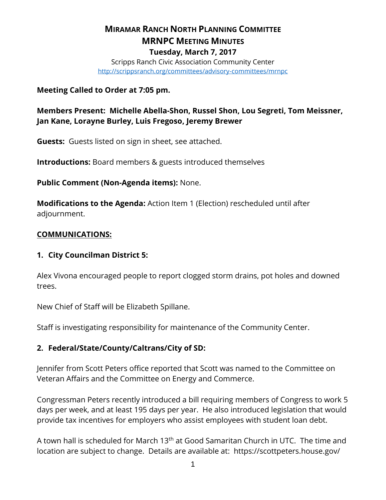# **MIRAMAR RANCH NORTH PLANNING COMMITTEE MRNPC MEETING MINUTES Tuesday, March 7, 2017**

Scripps Ranch Civic Association Community Center <http://scrippsranch.org/committees/advisory-committees/mrnpc>

## **Meeting Called to Order at 7:05 pm.**

**Members Present: Michelle Abella-Shon, Russel Shon, Lou Segreti, Tom Meissner, Jan Kane, Lorayne Burley, Luis Fregoso, Jeremy Brewer**

**Guests:** Guests listed on sign in sheet, see attached.

**Introductions:** Board members & guests introduced themselves

**Public Comment (Non-Agenda items):** None.

**Modifications to the Agenda:** Action Item 1 (Election) rescheduled until after adjournment.

## **COMMUNICATIONS:**

# **1. City Councilman District 5:**

Alex Vivona encouraged people to report clogged storm drains, pot holes and downed trees.

New Chief of Staff will be Elizabeth Spillane.

Staff is investigating responsibility for maintenance of the Community Center.

# **2. Federal/State/County/Caltrans/City of SD:**

Jennifer from Scott Peters office reported that Scott was named to the Committee on Veteran Affairs and the Committee on Energy and Commerce.

Congressman Peters recently introduced a bill requiring members of Congress to work 5 days per week, and at least 195 days per year. He also introduced legislation that would provide tax incentives for employers who assist employees with student loan debt.

A town hall is scheduled for March  $13<sup>th</sup>$  at Good Samaritan Church in UTC. The time and location are subject to change. Details are available at: https://scottpeters.house.gov/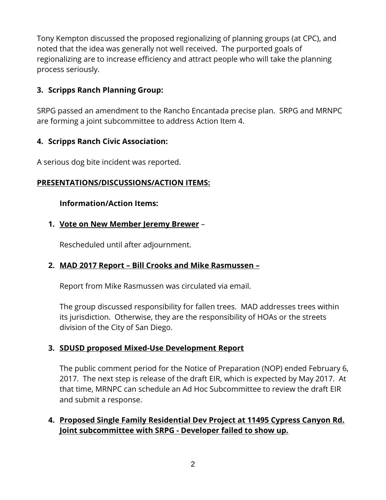Tony Kempton discussed the proposed regionalizing of planning groups (at CPC), and noted that the idea was generally not well received. The purported goals of regionalizing are to increase efficiency and attract people who will take the planning process seriously.

# **3. Scripps Ranch Planning Group:**

SRPG passed an amendment to the Rancho Encantada precise plan. SRPG and MRNPC are forming a joint subcommittee to address Action Item 4.

# **4. Scripps Ranch Civic Association:**

A serious dog bite incident was reported.

# **PRESENTATIONS/DISCUSSIONS/ACTION ITEMS:**

## **Information/Action Items:**

## **1. Vote on New Member Jeremy Brewer** –

Rescheduled until after adjournment.

# **2. MAD 2017 Report – Bill Crooks and Mike Rasmussen –**

Report from Mike Rasmussen was circulated via email.

The group discussed responsibility for fallen trees. MAD addresses trees within its jurisdiction. Otherwise, they are the responsibility of HOAs or the streets division of the City of San Diego.

# **3. SDUSD proposed Mixed-Use Development Report**

The public comment period for the Notice of Preparation (NOP) ended February 6, 2017. The next step is release of the draft EIR, which is expected by May 2017. At that time, MRNPC can schedule an Ad Hoc Subcommittee to review the draft EIR and submit a response.

# **4. Proposed Single Family Residential Dev Project at 11495 Cypress Canyon Rd. Joint subcommittee with SRPG - Developer failed to show up.**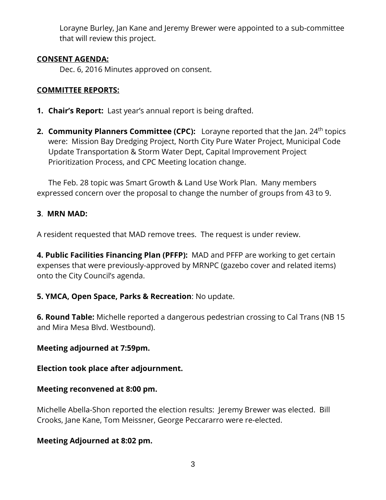Lorayne Burley, Jan Kane and Jeremy Brewer were appointed to a sub-committee that will review this project.

## **CONSENT AGENDA:**

Dec. 6, 2016 Minutes approved on consent.

# **COMMITTEE REPORTS:**

- **1. Chair's Report:** Last year's annual report is being drafted.
- **2. Community Planners Committee (CPC):** Lorayne reported that the Jan. 24<sup>th</sup> topics were: Mission Bay Dredging Project, North City Pure Water Project, Municipal Code Update Transportation & Storm Water Dept, Capital Improvement Project Prioritization Process, and CPC Meeting location change.

The Feb. 28 topic was Smart Growth & Land Use Work Plan. Many members expressed concern over the proposal to change the number of groups from 43 to 9.

# **3**. **MRN MAD:**

A resident requested that MAD remove trees. The request is under review.

**4. Public Facilities Financing Plan (PFFP):** MAD and PFFP are working to get certain expenses that were previously-approved by MRNPC (gazebo cover and related items) onto the City Council's agenda.

# **5. YMCA, Open Space, Parks & Recreation**: No update.

**6. Round Table:** Michelle reported a dangerous pedestrian crossing to Cal Trans (NB 15 and Mira Mesa Blvd. Westbound).

# **Meeting adjourned at 7:59pm.**

# **Election took place after adjournment.**

# **Meeting reconvened at 8:00 pm.**

Michelle Abella-Shon reported the election results: Jeremy Brewer was elected. Bill Crooks, Jane Kane, Tom Meissner, George Peccararro were re-elected.

# **Meeting Adjourned at 8:02 pm.**